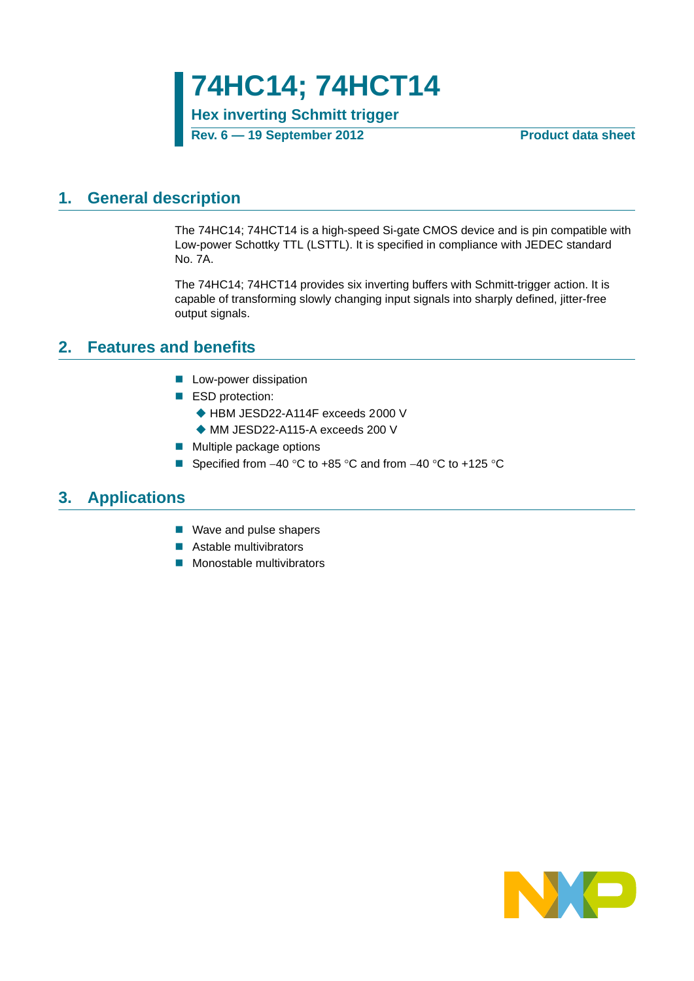**74HC14; 74HCT14**

**Hex inverting Schmitt trigger**

**Rev. 6 — 19 September 2012 Product data sheet**

### <span id="page-0-0"></span>**1. General description**

The 74HC14; 74HCT14 is a high-speed Si-gate CMOS device and is pin compatible with Low-power Schottky TTL (LSTTL). It is specified in compliance with JEDEC standard No. 7A.

The 74HC14; 74HCT14 provides six inverting buffers with Schmitt-trigger action. It is capable of transforming slowly changing input signals into sharply defined, jitter-free output signals.

### <span id="page-0-1"></span>**2. Features and benefits**

- **Low-power dissipation**
- ESD protection:
	- ◆ HBM JESD22-A114F exceeds 2000 V
	- ◆ MM JESD22-A115-A exceeds 200 V
- **Multiple package options**
- Specified from  $-40$  °C to  $+85$  °C and from  $-40$  °C to  $+125$  °C

### <span id="page-0-2"></span>**3. Applications**

- Wave and pulse shapers
- **Astable multivibrators**
- **Monostable multivibrators**

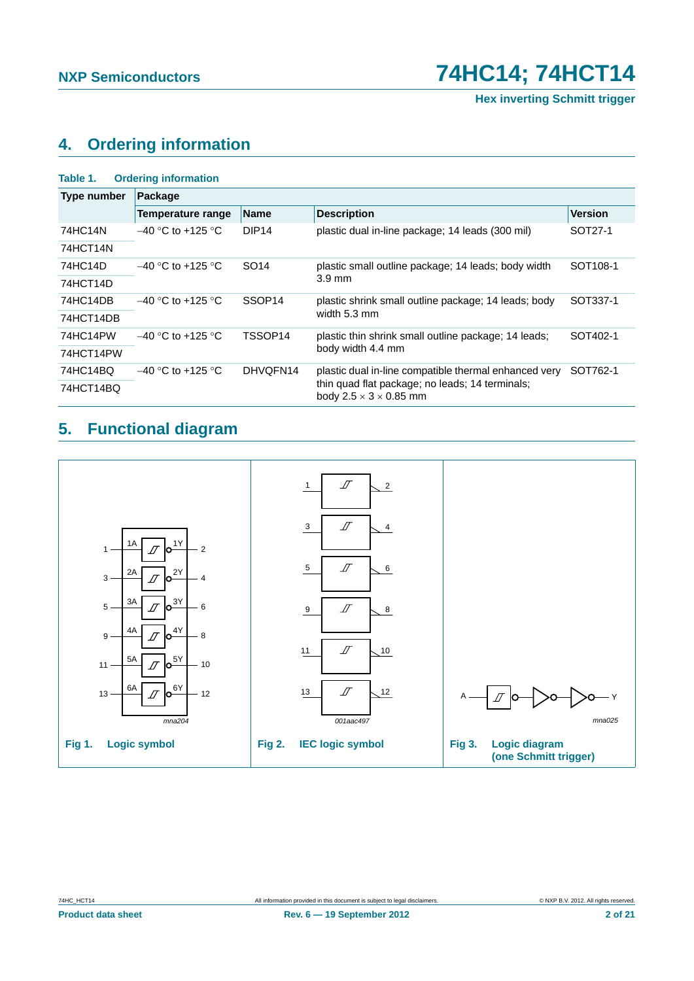# <span id="page-1-0"></span>**4. Ordering information**

| Table 1.           | <b>Ordering information</b>                                                           |                                                                   |                                                      |                      |  |  |  |  |  |  |
|--------------------|---------------------------------------------------------------------------------------|-------------------------------------------------------------------|------------------------------------------------------|----------------------|--|--|--|--|--|--|
| <b>Type number</b> | Package                                                                               |                                                                   |                                                      |                      |  |  |  |  |  |  |
|                    | Temperature range                                                                     | <b>Name</b>                                                       | <b>Description</b>                                   | <b>Version</b>       |  |  |  |  |  |  |
| 74HC14N            | $-40$ °C to +125 °C                                                                   | DIP <sub>14</sub>                                                 | plastic dual in-line package; 14 leads (300 mil)     | SOT27-1              |  |  |  |  |  |  |
| 74HCT14N           |                                                                                       |                                                                   |                                                      |                      |  |  |  |  |  |  |
| 74HC14D            | $-40$ °C to +125 °C                                                                   | SO <sub>14</sub>                                                  | plastic small outline package; 14 leads; body width  | SOT <sub>108-1</sub> |  |  |  |  |  |  |
| 74HCT14D           |                                                                                       |                                                                   | $3.9 \text{ mm}$                                     |                      |  |  |  |  |  |  |
| 74HC14DB           | $-40$ °C to +125 °C                                                                   | SSOP <sub>14</sub>                                                | plastic shrink small outline package; 14 leads; body | SOT337-1             |  |  |  |  |  |  |
| 74HCT14DB          |                                                                                       |                                                                   | width $5.3 \text{ mm}$                               |                      |  |  |  |  |  |  |
| 74HC14PW           | $-40$ °C to +125 °C                                                                   | TSSOP14                                                           | plastic thin shrink small outline package; 14 leads; | SOT402-1             |  |  |  |  |  |  |
| 74HCT14PW          |                                                                                       |                                                                   | body width 4.4 mm                                    |                      |  |  |  |  |  |  |
| 74HC14BQ           | $-40$ °C to +125 °C                                                                   | DHVQFN14<br>plastic dual in-line compatible thermal enhanced very |                                                      | SOT762-1             |  |  |  |  |  |  |
| 74HCT14BQ          | thin quad flat package; no leads; 14 terminals;<br>body $2.5 \times 3 \times 0.85$ mm |                                                                   |                                                      |                      |  |  |  |  |  |  |

# <span id="page-1-1"></span>**5. Functional diagram**

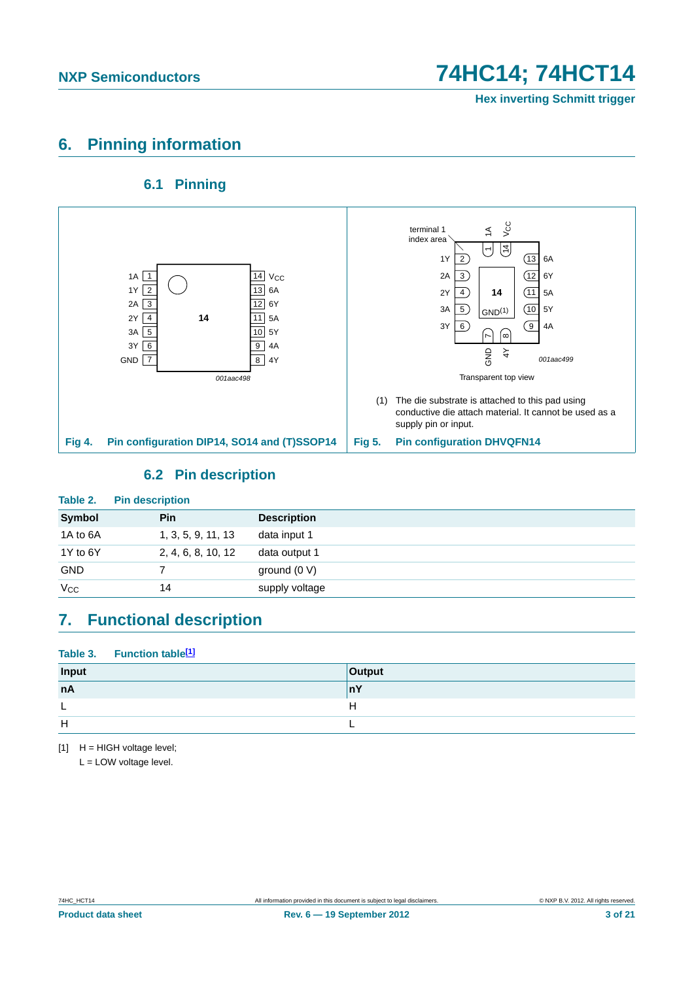## <span id="page-2-1"></span>**6. Pinning information**

### **6.1 Pinning**

<span id="page-2-2"></span>

### **6.2 Pin description**

<span id="page-2-3"></span>

| Table 2.      | <b>Pin description</b> |                    |
|---------------|------------------------|--------------------|
| <b>Symbol</b> | <b>Pin</b>             | <b>Description</b> |
| 1A to 6A      | 1, 3, 5, 9, 11, 13     | data input 1       |
| 1Y to 6Y      | 2, 4, 6, 8, 10, 12     | data output 1      |
| <b>GND</b>    |                        | ground $(0 V)$     |
| $V_{CC}$      | 14                     | supply voltage     |

## <span id="page-2-4"></span>**7. Functional description**

#### Table 3. Function table<sup>[1]</sup>

| Input | <b>Output</b> |
|-------|---------------|
| nA    | nY            |
| -     | H             |
| H     |               |

<span id="page-2-0"></span> $[1]$  H = HIGH voltage level;

L = LOW voltage level.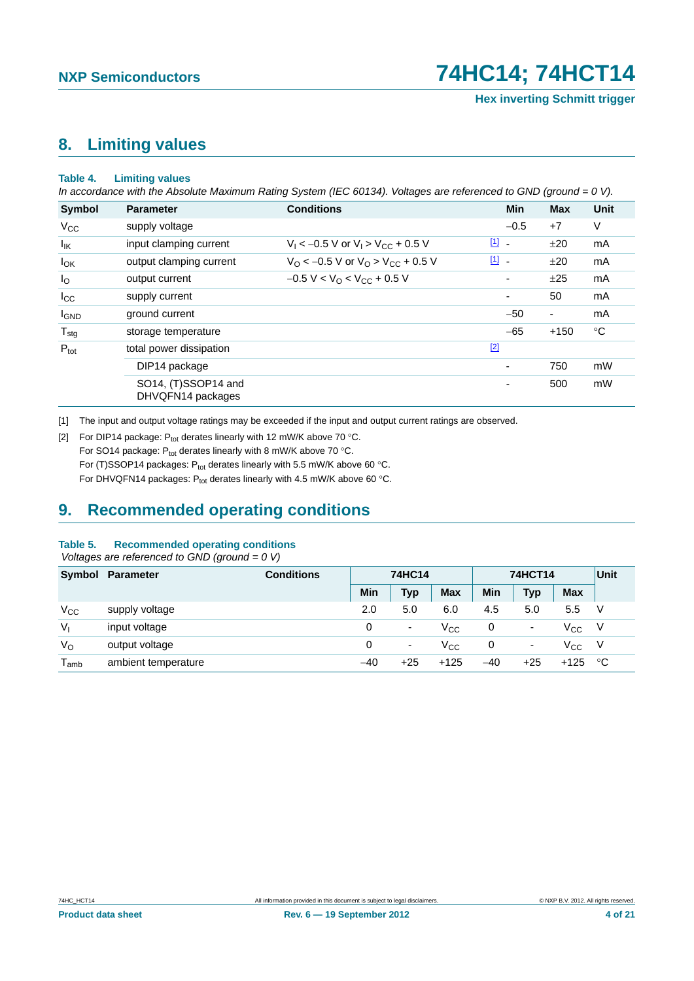## <span id="page-3-2"></span>**8. Limiting values**

#### **Table 4. Limiting values**

*In accordance with the Absolute Maximum Rating System (IEC 60134). Voltages are referenced to GND (ground = 0 V).*

| Symbol           | <b>Parameter</b>                         | <b>Conditions</b>                                             |               | Min                      | <b>Max</b> | <b>Unit</b> |
|------------------|------------------------------------------|---------------------------------------------------------------|---------------|--------------------------|------------|-------------|
| $V_{\rm CC}$     | supply voltage                           |                                                               |               | $-0.5$                   | $+7$       | V           |
| lικ              | input clamping current                   | $V_1$ < -0.5 V or $V_1$ > $V_{CC}$ + 0.5 V                    | $\boxed{1}$ - |                          | ±20        | mA          |
| $I_{OK}$         | output clamping current                  | $V_{\rm O}$ < -0.5 V or $V_{\rm O}$ > V <sub>CC</sub> + 0.5 V | $\boxed{1}$   |                          | ±20        | mA          |
| $I_{\rm O}$      | output current                           | $-0.5 V < VO < VCC + 0.5 V$                                   |               | $\overline{\phantom{a}}$ | ±25        | mA          |
| $I_{\rm CC}$     | supply current                           |                                                               |               | $\overline{\phantom{a}}$ | 50         | mA          |
| <b>I</b> GND     | ground current                           |                                                               |               | $-50$                    | ۰          | mA          |
| $T_{\text{stg}}$ | storage temperature                      |                                                               |               | $-65$                    | $+150$     | $^{\circ}C$ |
| $P_{\text{tot}}$ | total power dissipation                  |                                                               | $[2]$         |                          |            |             |
|                  | DIP14 package                            |                                                               |               | $\overline{\phantom{a}}$ | 750        | mW          |
|                  | SO14, (T)SSOP14 and<br>DHVQFN14 packages |                                                               |               | $\overline{\phantom{a}}$ | 500        | mW          |

<span id="page-3-0"></span>[1] The input and output voltage ratings may be exceeded if the input and output current ratings are observed.

<span id="page-3-1"></span>[2] For DIP14 package:  $P_{tot}$  derates linearly with 12 mW/K above 70 °C. For SO14 package:  $P_{tot}$  derates linearly with 8 mW/K above 70 °C. For (T)SSOP14 packages:  $P_{tot}$  derates linearly with 5.5 mW/K above 60 °C. For DHVQFN14 packages:  $P_{tot}$  derates linearly with 4.5 mW/K above 60 °C.

## <span id="page-3-3"></span>**9. Recommended operating conditions**

#### **Table 5. Recommended operating conditions**

 *Voltages are referenced to GND (ground = 0 V)*

|                             | Symbol Parameter    | <b>Conditions</b> | 74HC14 |                          | <b>74HCT14</b> |       |            | Unit         |    |
|-----------------------------|---------------------|-------------------|--------|--------------------------|----------------|-------|------------|--------------|----|
|                             |                     |                   | Min    | Тур                      | <b>Max</b>     | Min   | <b>Typ</b> | <b>Max</b>   |    |
| $V_{\rm CC}$                | supply voltage      |                   | 2.0    | 5.0                      | 6.0            | 4.5   | 5.0        | 5.5          | V  |
| $V_{1}$                     | input voltage       |                   | 0      | ٠                        | $\rm V_{CC}$   | 0     | ۰          | $\rm V_{CC}$ | V. |
| $V_{\rm O}$                 | output voltage      |                   | 0      | $\overline{\phantom{a}}$ | $\rm V_{CC}$   | 0     | ۰          | $V_{\rm CC}$ | V. |
| $\mathsf{T}_{\mathsf{amb}}$ | ambient temperature |                   | $-40$  | $+25$                    | $+125$         | $-40$ | $+25$      | $+125$       | ்С |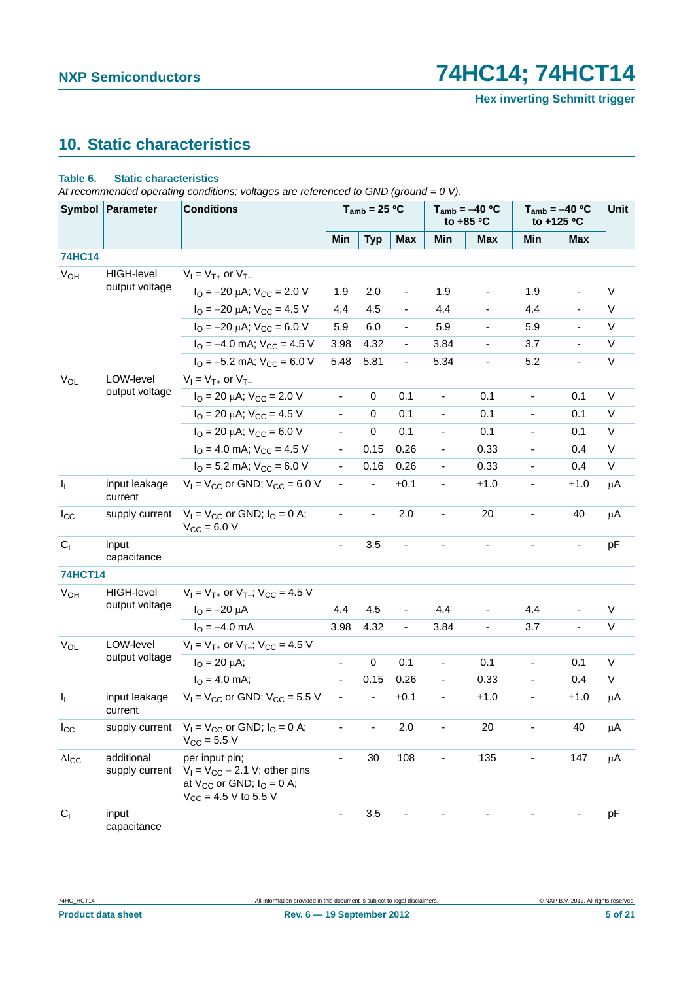# <span id="page-4-0"></span>**10. Static characteristics**

#### **Table 6. Static characteristics**

*At recommended operating conditions; voltages are referenced to GND (ground = 0 V).*

|                 | Symbol   Parameter           | <b>Conditions</b>                                                                                                       |                              | $T_{amb}$ = 25 °C |                              | $T_{amb} = -40 °C$<br>to $+85$ °C |                          | $T_{amb} = -40 °C$<br>to +125 °C |                              | Unit    |
|-----------------|------------------------------|-------------------------------------------------------------------------------------------------------------------------|------------------------------|-------------------|------------------------------|-----------------------------------|--------------------------|----------------------------------|------------------------------|---------|
|                 |                              |                                                                                                                         | Min                          | <b>Typ</b>        | <b>Max</b>                   | Min                               | Max                      | Min                              | <b>Max</b>                   |         |
| <b>74HC14</b>   |                              |                                                                                                                         |                              |                   |                              |                                   |                          |                                  |                              |         |
| V <sub>OH</sub> | <b>HIGH-level</b>            | $V_1 = V_{T+}$ or $V_{T-}$                                                                                              |                              |                   |                              |                                   |                          |                                  |                              |         |
|                 | output voltage               | $I_{\text{O}} = -20 \mu\text{A}$ ; $V_{\text{CC}} = 2.0 \text{ V}$                                                      | 1.9                          | 2.0               | $\qquad \qquad \blacksquare$ | 1.9                               | $\overline{\phantom{0}}$ | 1.9                              | $\frac{1}{2}$                | V       |
|                 |                              | $I_{\rm O} = -20 \mu A$ ; $V_{\rm CC} = 4.5 V$                                                                          | 4.4                          | 4.5               | ä,                           | 4.4                               |                          | 4.4                              |                              | V       |
|                 |                              | $I_{\text{O}} = -20 \mu\text{A}$ ; $V_{\text{CC}} = 6.0 \text{ V}$                                                      | 5.9                          | 6.0               | $\overline{\phantom{a}}$     | 5.9                               |                          | 5.9                              | $\overline{\phantom{a}}$     | V       |
|                 |                              | $IO = -4.0$ mA; $VCC = 4.5$ V                                                                                           | 3.98                         | 4.32              | $\frac{1}{2}$                | 3.84                              |                          | 3.7                              |                              | V       |
|                 |                              | $IO = -5.2$ mA; $VCC = 6.0$ V                                                                                           | 5.48                         | 5.81              | $\qquad \qquad \blacksquare$ | 5.34                              | ÷                        | 5.2                              |                              | V       |
| $V_{OL}$        | LOW-level                    | $V_1 = V_{T+}$ or $V_{T-}$                                                                                              |                              |                   |                              |                                   |                          |                                  |                              |         |
|                 | output voltage               | $I_{\text{O}}$ = 20 µA; $V_{\text{CC}}$ = 2.0 V                                                                         | $\qquad \qquad \blacksquare$ | 0                 | 0.1                          | $\blacksquare$                    | 0.1                      | $\overline{\phantom{0}}$         | 0.1                          | $\vee$  |
|                 |                              | $I_{\text{O}}$ = 20 µA; $V_{\text{CC}}$ = 4.5 V                                                                         | ä,                           | $\mathbf 0$       | 0.1                          | $\blacksquare$                    | 0.1                      | $\frac{1}{2}$                    | 0.1                          | $\vee$  |
|                 |                              | $I_{\text{O}}$ = 20 µA; $V_{\text{CC}}$ = 6.0 V                                                                         | $\blacksquare$               | 0                 | 0.1                          |                                   | 0.1                      | $\overline{\phantom{a}}$         | 0.1                          | V       |
|                 |                              | $I_{\Omega}$ = 4.0 mA; $V_{\text{CC}}$ = 4.5 V                                                                          | $\blacksquare$               | 0.15              | 0.26                         | $\overline{\phantom{0}}$          | 0.33                     | $\blacksquare$                   | 0.4                          | V       |
|                 |                              | $I_{\text{O}}$ = 5.2 mA; $V_{\text{CC}}$ = 6.0 V                                                                        | $\qquad \qquad \blacksquare$ | 0.16              | 0.26                         | -                                 | 0.33                     | $\frac{1}{2}$                    | 0.4                          | V       |
| $I_1$           | input leakage<br>current     | $V_1 = V_{CC}$ or GND; $V_{CC} = 6.0$ V                                                                                 | $\blacksquare$               |                   | ±0.1                         | $\overline{\phantom{a}}$          | ±1.0                     | $\blacksquare$                   | ±1.0                         | μA      |
| $I_{\rm CC}$    | supply current               | $V_1 = V_{CC}$ or GND; $I_Q = 0$ A;<br>$V_{\text{CC}} = 6.0 V$                                                          |                              |                   | 2.0                          |                                   | 20                       |                                  | 40                           | μA      |
| C <sub>1</sub>  | input<br>capacitance         |                                                                                                                         | $\blacksquare$               | 3.5               | $\overline{\phantom{0}}$     |                                   | ÷,                       |                                  | $\qquad \qquad \blacksquare$ | pF      |
| <b>74HCT14</b>  |                              |                                                                                                                         |                              |                   |                              |                                   |                          |                                  |                              |         |
| $V_{OH}$        | <b>HIGH-level</b>            | $V_1 = V_{T+}$ or $V_{T-}$ ; $V_{CC} = 4.5$ V                                                                           |                              |                   |                              |                                   |                          |                                  |                              |         |
|                 | output voltage               | $I_{\text{O}} = -20 \mu A$                                                                                              | 4.4                          | 4.5               | ä,                           | 4.4                               | ä,                       | 4.4                              |                              | V       |
|                 |                              | $I_{\Omega} = -4.0$ mA                                                                                                  | 3.98                         | 4.32              | $\qquad \qquad \blacksquare$ | 3.84                              | ÷,                       | 3.7                              | ä,                           | V       |
| $V_{OL}$        | LOW-level                    | $V_1 = V_{T+}$ or $V_{T-}$ ; $V_{CC} = 4.5$ V                                                                           |                              |                   |                              |                                   |                          |                                  |                              |         |
|                 | output voltage               | $I_{\rm O} = 20 \mu A$ ;                                                                                                | $\overline{\phantom{a}}$     | 0                 | 0.1                          | $\blacksquare$                    | 0.1                      | $\blacksquare$                   | 0.1                          | V       |
|                 |                              | $I_{\Omega} = 4.0$ mA;                                                                                                  | $\blacksquare$               | 0.15              | 0.26                         | ÷.                                | 0.33                     | ÷,                               | 0.4                          | V       |
| $\mathbf{l}_1$  | input leakage<br>current     | $V_1 = V_{CC}$ or GND; $V_{CC} = 5.5$ V                                                                                 | ÷,                           |                   | ±0.1                         | $\overline{\phantom{a}}$          | $\pm 1.0$                | $\qquad \qquad \blacksquare$     | ±1.0                         | μA      |
| $I_{\rm CC}$    |                              | supply current $V_1 = V_{CC}$ or GND; $I_0 = 0$ A;<br>$V_{CC}$ = 5.5 V                                                  |                              |                   | 2.0                          |                                   | 20                       | $\qquad \qquad \blacksquare$     | 40                           | μA      |
| $\Delta I_{CC}$ | additional<br>supply current | per input pin;<br>$V_1 = V_{CC} - 2.1$ V; other pins<br>at $V_{CC}$ or GND; $I_{O} = 0$ A;<br>$V_{CC}$ = 4.5 V to 5.5 V |                              | 30                | 108                          |                                   | 135                      |                                  | 147                          | $\mu$ A |
| $C_{1}$         | input<br>capacitance         |                                                                                                                         |                              | 3.5               |                              |                                   |                          |                                  |                              | pF      |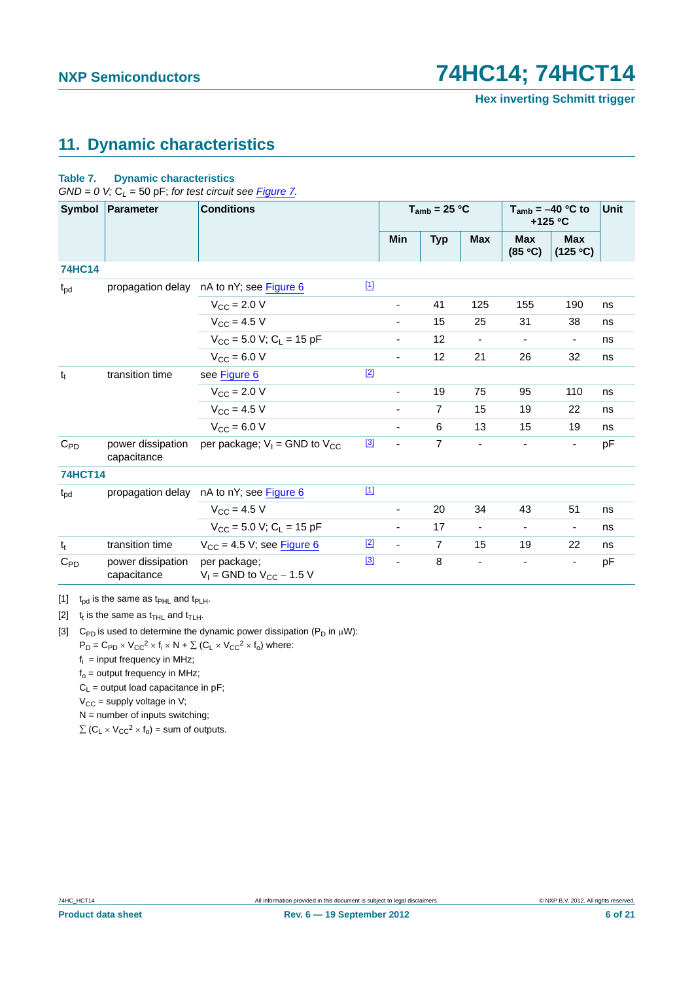# <span id="page-5-3"></span>**11. Dynamic characteristics**

#### **Table 7. Dynamic characteristics**

 $GND = 0$  V;  $C_L = 50$  pF; *for test circuit see [Figure 7](#page-6-0)*.

|                 | Symbol Parameter                 | <b>Conditions</b>                               |             | $T_{amb}$ = 25 °C        |                | $T_{amb} = -40 °C$ to<br>$+125$ °C |                          | Unit                     |    |
|-----------------|----------------------------------|-------------------------------------------------|-------------|--------------------------|----------------|------------------------------------|--------------------------|--------------------------|----|
|                 |                                  |                                                 |             | Min                      | <b>Typ</b>     | <b>Max</b>                         | <b>Max</b><br>(85 °C)    | <b>Max</b><br>(125 °C)   |    |
| <b>74HC14</b>   |                                  |                                                 |             |                          |                |                                    |                          |                          |    |
| $t_{pd}$        |                                  | propagation delay nA to nY; see Figure 6        | $[1]$       |                          |                |                                    |                          |                          |    |
|                 |                                  | $V_{\text{CC}} = 2.0 V$                         |             | Ξ.                       | 41             | 125                                | 155                      | 190                      | ns |
|                 |                                  | $V_{CC}$ = 4.5 V                                |             |                          | 15             | 25                                 | 31                       | 38                       | ns |
|                 |                                  | $V_{CC}$ = 5.0 V; C <sub>L</sub> = 15 pF        |             |                          | 12             | $\overline{\phantom{a}}$           | $\overline{\phantom{a}}$ | $\overline{\phantom{a}}$ | ns |
|                 |                                  | $V_{CC} = 6.0 V$                                |             | -                        | 12             | 21                                 | 26                       | 32                       | ns |
| $t_t$           | transition time                  | see Figure 6                                    | $[2]$       |                          |                |                                    |                          |                          |    |
|                 |                                  | $V_{\text{CC}} = 2.0 V$                         |             | ٠                        | 19             | 75                                 | 95                       | 110                      | ns |
|                 |                                  | $V_{CC} = 4.5 V$                                |             | $\overline{\phantom{a}}$ | $\overline{7}$ | 15                                 | 19                       | 22                       | ns |
|                 |                                  | $V_{CC} = 6.0 V$                                |             | $\overline{\phantom{0}}$ | 6              | 13                                 | 15                       | 19                       | ns |
| $C_{PD}$        | power dissipation<br>capacitance | per package; $V_1$ = GND to $V_{CC}$            | $[3]$       | $\blacksquare$           | $\overline{7}$ | $\qquad \qquad \blacksquare$       |                          | $\overline{\phantom{a}}$ | pF |
| <b>74HCT14</b>  |                                  |                                                 |             |                          |                |                                    |                          |                          |    |
| $t_{\text{pd}}$ |                                  | propagation delay nA to nY; see Figure 6        | $\boxed{1}$ |                          |                |                                    |                          |                          |    |
|                 |                                  | $V_{\text{CC}} = 4.5 V$                         |             | -                        | 20             | 34                                 | 43                       | 51                       | ns |
|                 |                                  | $V_{CC}$ = 5.0 V; C <sub>L</sub> = 15 pF        |             | $\overline{\phantom{0}}$ | 17             | $\overline{\phantom{a}}$           | $\overline{\phantom{a}}$ | $\overline{\phantom{a}}$ | ns |
| $t_t$           | transition time                  | $V_{CC}$ = 4.5 V; see Figure 6                  | $[2]$       | $\overline{\phantom{a}}$ | $\overline{7}$ | 15                                 | 19                       | 22                       | ns |
| $C_{PD}$        | power dissipation<br>capacitance | per package;<br>$V_1$ = GND to $V_{CC}$ – 1.5 V | $^{[3]}$    | $\blacksquare$           | 8              | $\qquad \qquad \blacksquare$       | $\overline{\phantom{a}}$ |                          | pF |

<span id="page-5-0"></span>[1]  $t_{pd}$  is the same as  $t_{PHL}$  and  $t_{PLH}$ .

<span id="page-5-1"></span>[2]  $t_t$  is the same as  $t_{\text{THL}}$  and  $t_{\text{TLH}}$ .

<span id="page-5-2"></span>[3] C<sub>PD</sub> is used to determine the dynamic power dissipation (P<sub>D</sub> in  $\mu$ W):

 $P_D = C_{PD} \times V_{CC}^2 \times f_i \times N + \sum (C_L \times V_{CC}^2 \times f_0)$  where:

 $f_i$  = input frequency in MHz;

 $f<sub>o</sub>$  = output frequency in MHz;

 $C_L$  = output load capacitance in pF;

 $V_{CC}$  = supply voltage in V;

 $N =$  number of inputs switching;

 $\sum$  (C<sub>L</sub>  $\times$  V<sub>CC</sub><sup>2</sup>  $\times$  f<sub>o</sub>) = sum of outputs.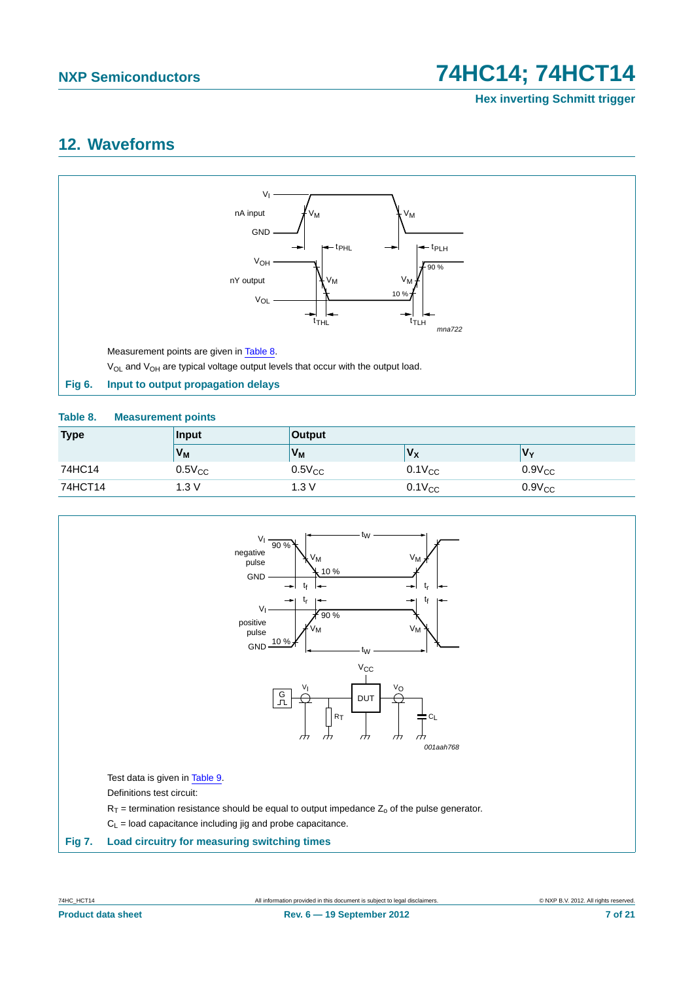**Hex inverting Schmitt trigger**

## <span id="page-6-3"></span>**12. Waveforms**



#### <span id="page-6-2"></span><span id="page-6-1"></span>**Table 8. Measurement points**

| <b>Type</b> | <b>Input</b> | <b>Output</b>       |             |             |  |  |  |
|-------------|--------------|---------------------|-------------|-------------|--|--|--|
|             | $V_M$        | V.<br>$V_{M}$<br>Vχ |             |             |  |  |  |
| 74HC14      | $0.5V_{CC}$  | $0.5V_{CC}$         | $0.1V_{CC}$ | $0.9V_{CC}$ |  |  |  |
| 74HCT14     | 1.3V         | 1.3V                | $0.1V_{CC}$ | $0.9V_{CC}$ |  |  |  |

<span id="page-6-0"></span>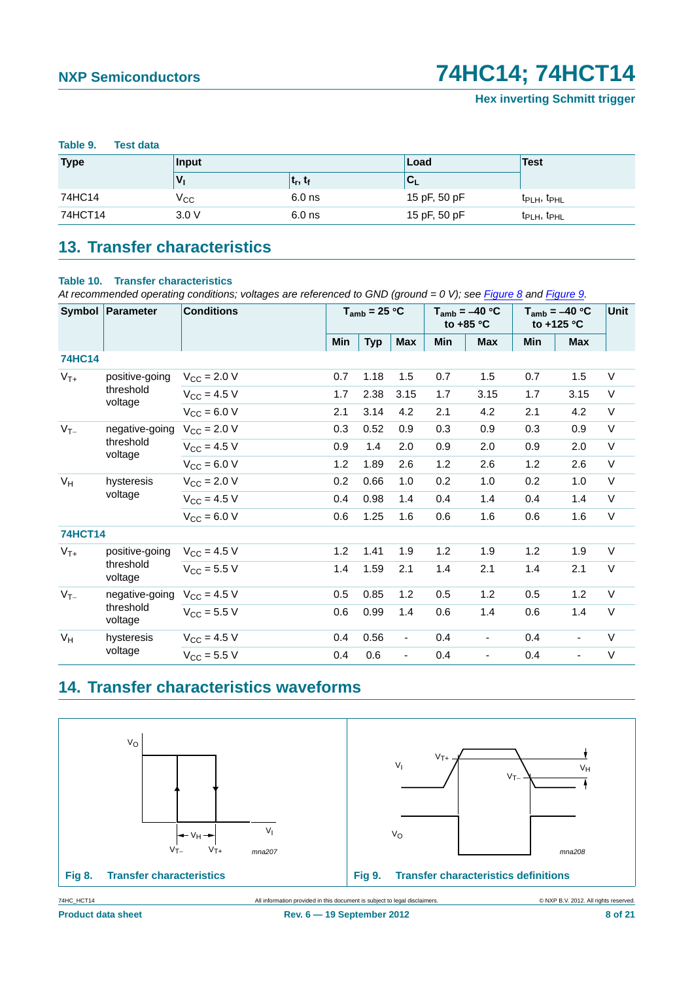<span id="page-7-0"></span>

| Table 9.<br><b>Test data</b> |              |            |              |                                     |  |  |  |  |  |  |
|------------------------------|--------------|------------|--------------|-------------------------------------|--|--|--|--|--|--|
| <b>Type</b>                  | Input        |            | Load         | <b>Test</b>                         |  |  |  |  |  |  |
|                              | v,           | $t_r, t_f$ | '∪∟          |                                     |  |  |  |  |  |  |
| 74HC14                       | $V_{\rm CC}$ | $6.0$ ns   | 15 pF, 50 pF | t <sub>PLH</sub> , t <sub>PHL</sub> |  |  |  |  |  |  |
| 74HCT14                      | 3.0V         | $6.0$ ns   | 15 pF, 50 pF | t <sub>PLH</sub> , t <sub>PHL</sub> |  |  |  |  |  |  |

# <span id="page-7-3"></span>**13. Transfer characteristics**

#### **Table 10. Transfer characteristics**

*At recommended operating conditions; voltages are referenced to GND (ground = 0 V); see [Figure 8](#page-7-1) and [Figure 9](#page-7-2).*

|                | Symbol Parameter      | <b>Conditions</b>       | $T_{amb}$ = 25 °C |            | $T_{amb} = -40 °C$<br>to $+85$ °C |     | $T_{amb} = -40 °C$<br>to +125 °C |       | Unit           |        |
|----------------|-----------------------|-------------------------|-------------------|------------|-----------------------------------|-----|----------------------------------|-------|----------------|--------|
|                |                       |                         | Min               | <b>Typ</b> | <b>Max</b>                        | Min | <b>Max</b>                       | Min   | <b>Max</b>     |        |
| <b>74HC14</b>  |                       |                         |                   |            |                                   |     |                                  |       |                |        |
| $V_{T+}$       | positive-going        | $V_{\text{CC}} = 2.0 V$ | 0.7               | 1.18       | 1.5                               | 0.7 | 1.5                              | 0.7   | 1.5            | V      |
|                | threshold<br>voltage  | $V_{CC}$ = 4.5 V        | 1.7               | 2.38       | 3.15                              | 1.7 | 3.15                             | 1.7   | 3.15           | V      |
|                |                       | $V_{CC} = 6.0 V$        | 2.1               | 3.14       | 4.2                               | 2.1 | 4.2                              | 2.1   | 4.2            | $\vee$ |
| $V_{T-}$       | negative-going        | $V_{\text{CC}} = 2.0 V$ | 0.3               | 0.52       | 0.9                               | 0.3 | 0.9                              | 0.3   | 0.9            | $\vee$ |
|                | threshold<br>voltage  | $V_{CC} = 4.5 V$        | 0.9               | 1.4        | 2.0                               | 0.9 | 2.0                              | 0.9   | 2.0            | $\vee$ |
|                |                       | $V_{CC} = 6.0 V$        | 1.2               | 1.89       | 2.6                               | 1.2 | 2.6                              | 1.2   | 2.6            | V      |
| $V_H$          | hysteresis<br>voltage | $V_{\text{CC}} = 2.0 V$ | 0.2               | 0.66       | 1.0                               | 0.2 | 1.0                              | 0.2   | 1.0            | V      |
|                |                       | $V_{CC} = 4.5 V$        | 0.4               | 0.98       | 1.4                               | 0.4 | 1.4                              | 0.4   | 1.4            | $\vee$ |
|                |                       | $V_{CC} = 6.0 V$        | 0.6               | 1.25       | 1.6                               | 0.6 | 1.6                              | 0.6   | 1.6            | V      |
| <b>74HCT14</b> |                       |                         |                   |            |                                   |     |                                  |       |                |        |
| $V_{T+}$       | positive-going        | $V_{CC}$ = 4.5 V        | 1.2               | 1.41       | 1.9                               | 1.2 | 1.9                              | $1.2$ | 1.9            | $\vee$ |
|                | threshold<br>voltage  | $V_{\text{CC}} = 5.5 V$ | 1.4               | 1.59       | 2.1                               | 1.4 | 2.1                              | 1.4   | 2.1            | $\vee$ |
| $V_{T-}$       | negative-going        | $V_{\text{CC}} = 4.5 V$ | 0.5               | 0.85       | 1.2                               | 0.5 | 1.2                              | 0.5   | 1.2            | V      |
|                | threshold<br>voltage  | $V_{\text{CC}} = 5.5 V$ | 0.6               | 0.99       | 1.4                               | 0.6 | 1.4                              | 0.6   | 1.4            | $\vee$ |
| $V_H$          | hysteresis            | $V_{\text{CC}} = 4.5 V$ | 0.4               | 0.56       | $\overline{\phantom{a}}$          | 0.4 | $\blacksquare$                   | 0.4   | $\blacksquare$ | V      |
|                | voltage               | $V_{\text{CC}} = 5.5 V$ | 0.4               | 0.6        | $\frac{1}{2}$                     | 0.4 | $\blacksquare$                   | 0.4   | $\blacksquare$ | $\vee$ |

# <span id="page-7-4"></span>**14. Transfer characteristics waveforms**



<span id="page-7-2"></span><span id="page-7-1"></span>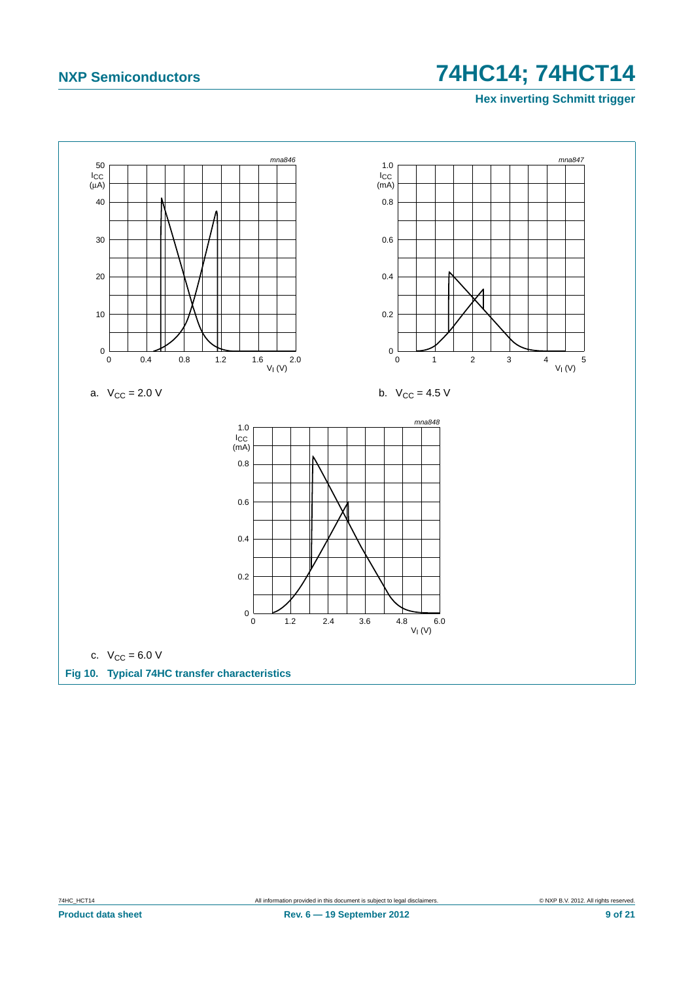**Hex inverting Schmitt trigger**

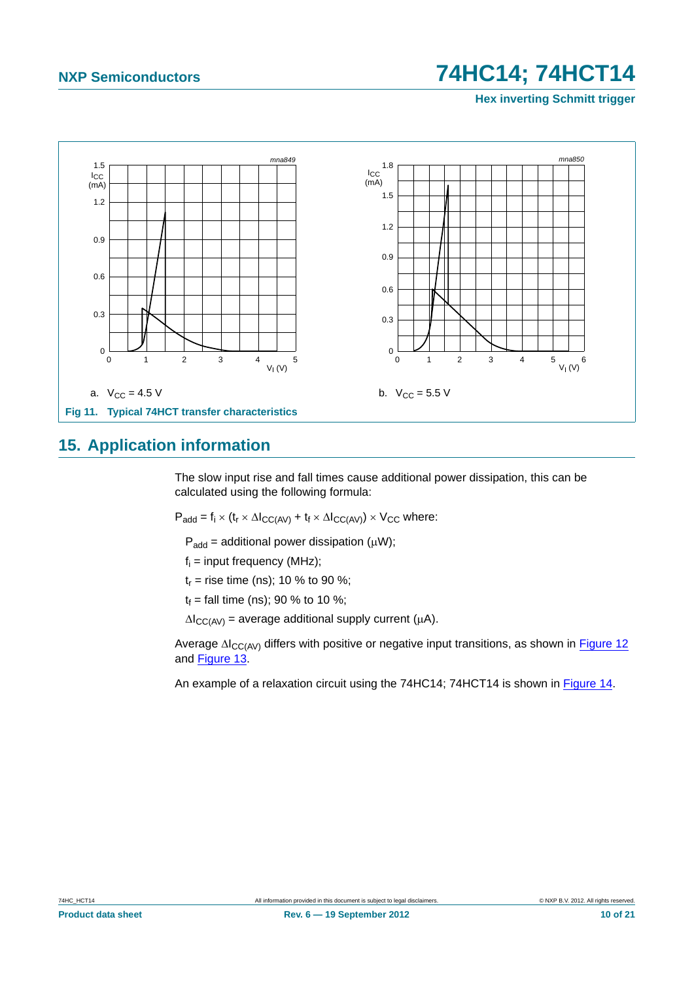**Hex inverting Schmitt trigger**



### <span id="page-9-0"></span>**15. Application information**

The slow input rise and fall times cause additional power dissipation, this can be calculated using the following formula:

 $P_{add} = f_i \times (t_r \times \Delta I_{CC(AV)} + t_f \times \Delta I_{CC(AV)}) \times V_{CC}$  where:

 $P_{add} =$  additional power dissipation ( $\mu$ W);

 $f_i$  = input frequency (MHz);

 $t_r$  = rise time (ns); 10 % to 90 %;

 $t_f$  = fall time (ns); 90 % to 10 %;

 $\Delta I_{CC(AV)}$  = average additional supply current ( $\mu$ A).

Average  $\Delta I_{CC(AV)}$  differs with positive or negative input transitions, as shown in [Figure 12](#page-10-0) and [Figure 13.](#page-10-1)

An example of a relaxation circuit using the 74HC14; 74HCT14 is shown in [Figure 14.](#page-11-0)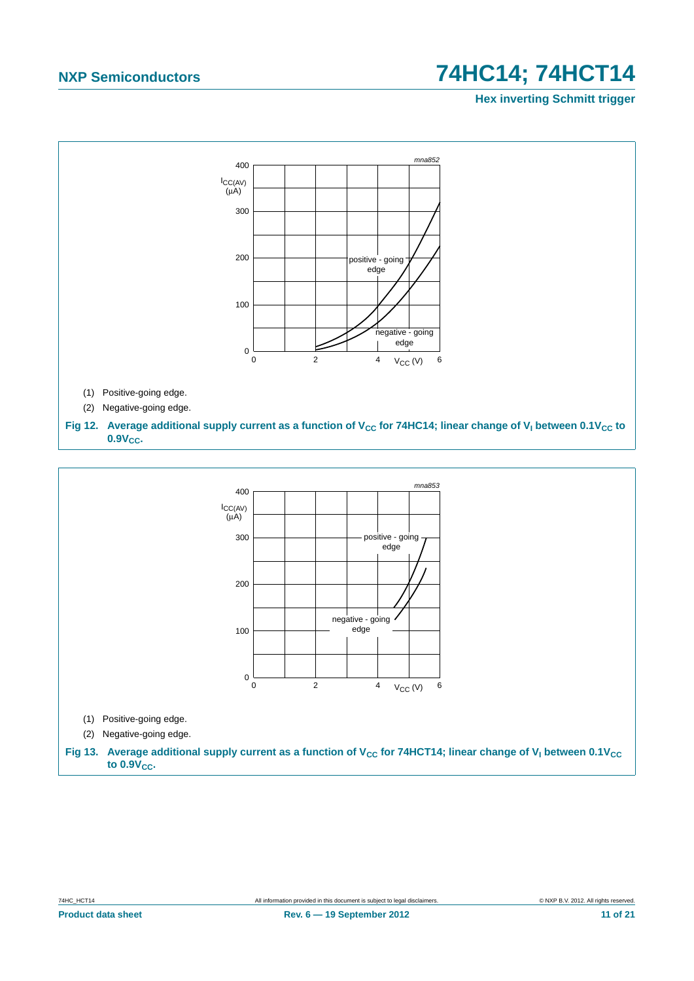**Hex inverting Schmitt trigger**



<span id="page-10-1"></span><span id="page-10-0"></span>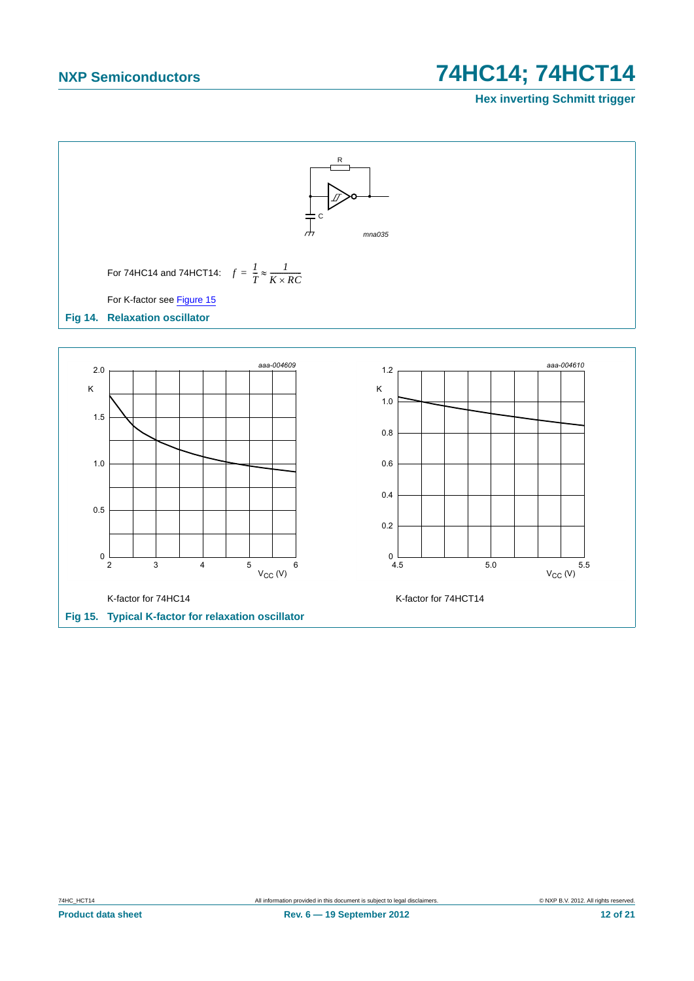### **Hex inverting Schmitt trigger**



<span id="page-11-1"></span>

 $2 \qquad 3 \qquad 4 \qquad 5 \qquad 6$  $4 \qquad \qquad 5$ 

 $V_{CC} (V)$ 

**Product data sheet Rev. 6 — 19 September 2012 Rev. 6 — 19 September 2012 12 of 21** 

<span id="page-11-0"></span> $1.0$ 

 $0.5$ 

 $\mathbf 0$ 

 $V_{CC} (V)$ 

 $5.5$ 

 $4.5$  5.0

 $0.6$ 

 $0.8$ 

 $0.4$ 

 $0.2$ 

 $\mathbf 0$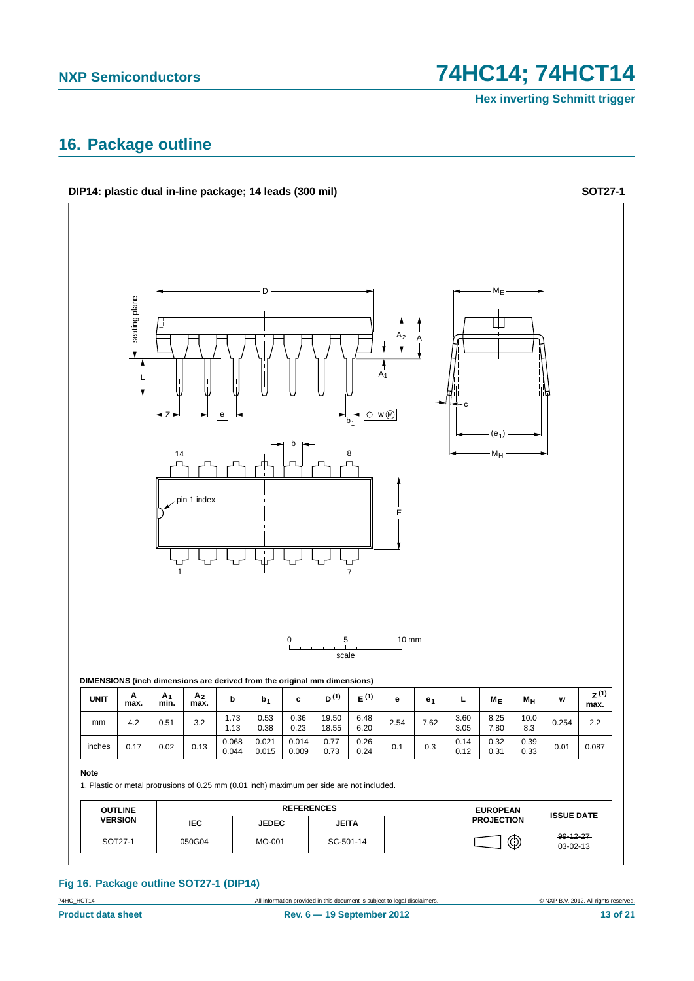**Hex inverting Schmitt trigger**

# <span id="page-12-0"></span>**16. Package outline**

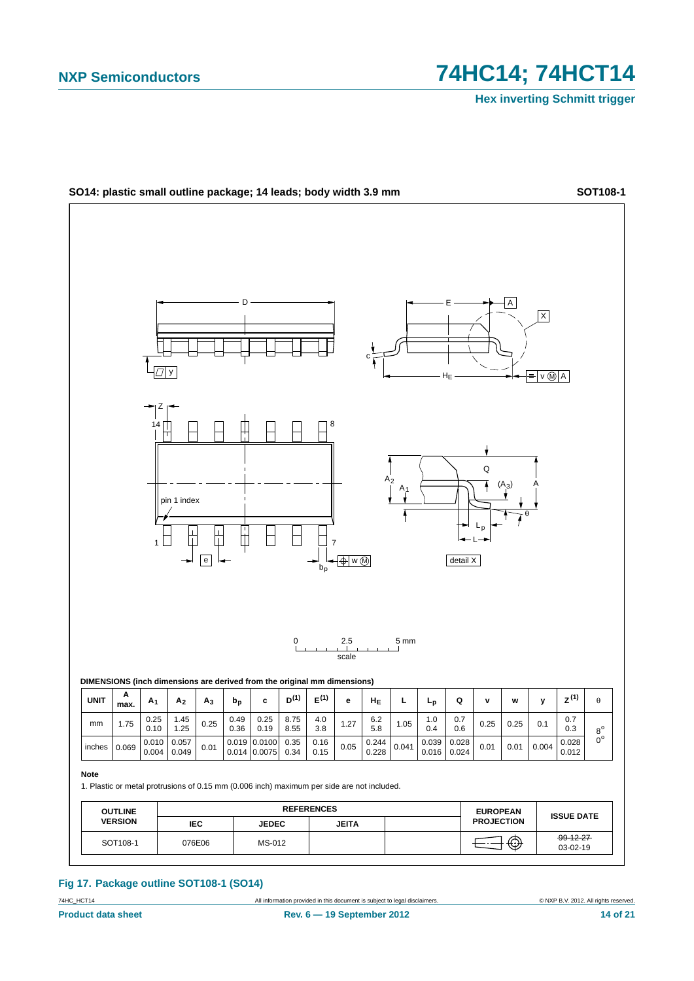

#### **Fig 17. Package outline SOT108-1 (SO14)**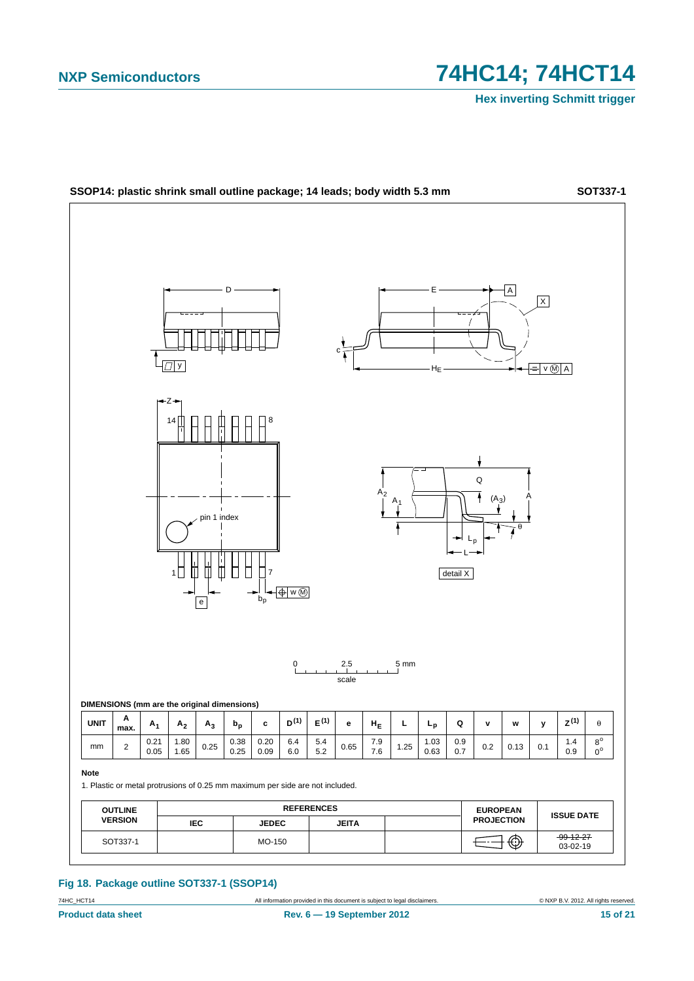

**Fig 18. Package outline SOT337-1 (SSOP14)**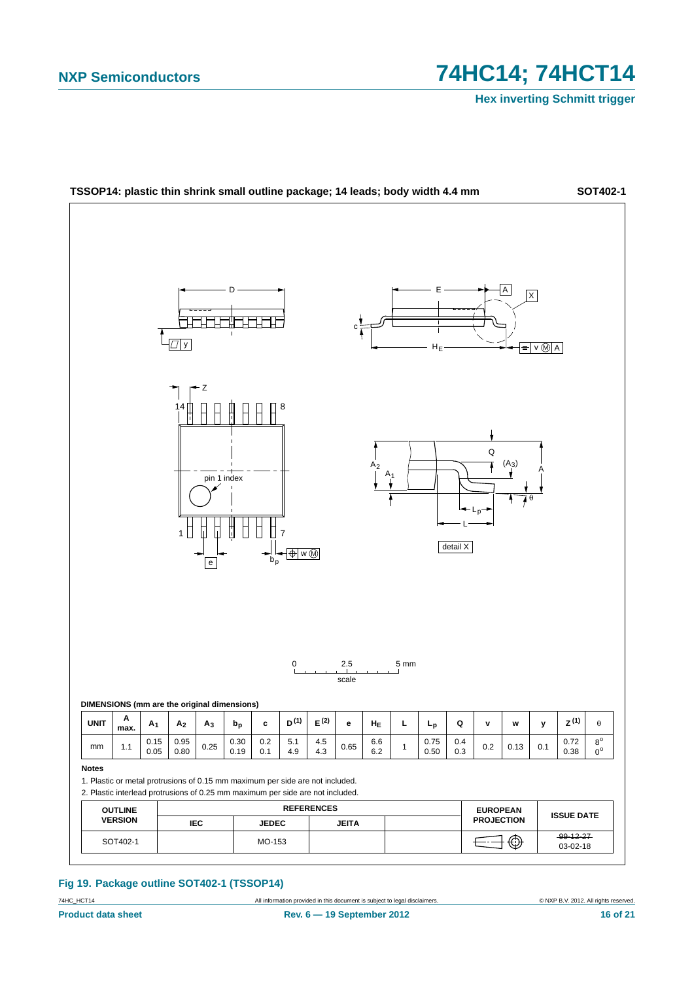

#### **Fig 19. Package outline SOT402-1 (TSSOP14)**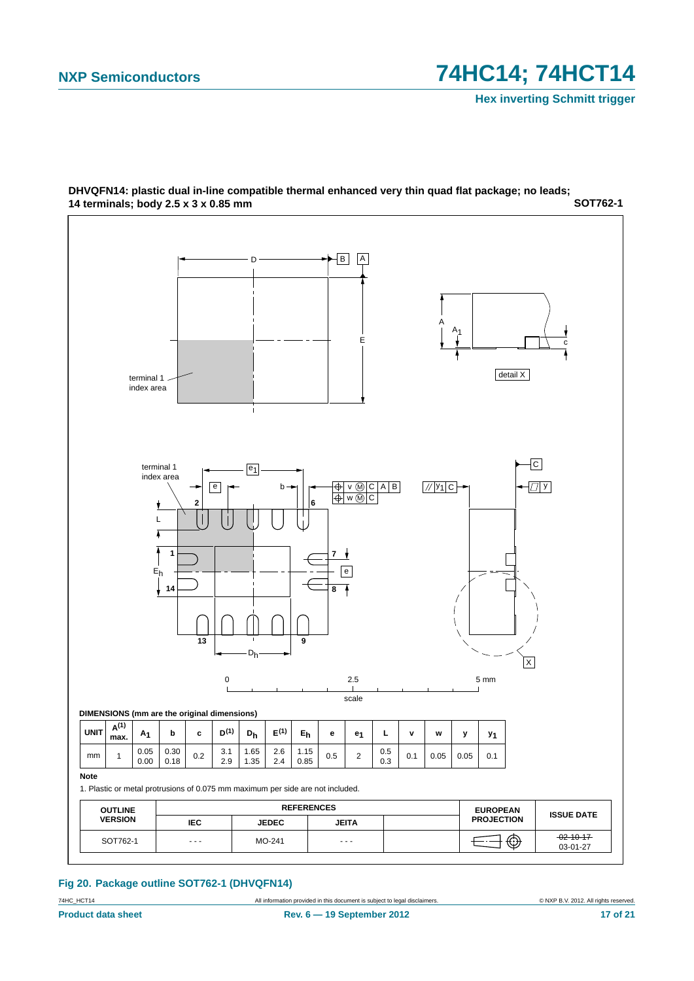

#### **SOT762-1 DHVQFN14: plastic dual in-line compatible thermal enhanced very thin quad flat package; no leads; 14 terminals; body 2.5 x 3 x 0.85 mm**

**Fig 20. Package outline SOT762-1 (DHVQFN14)**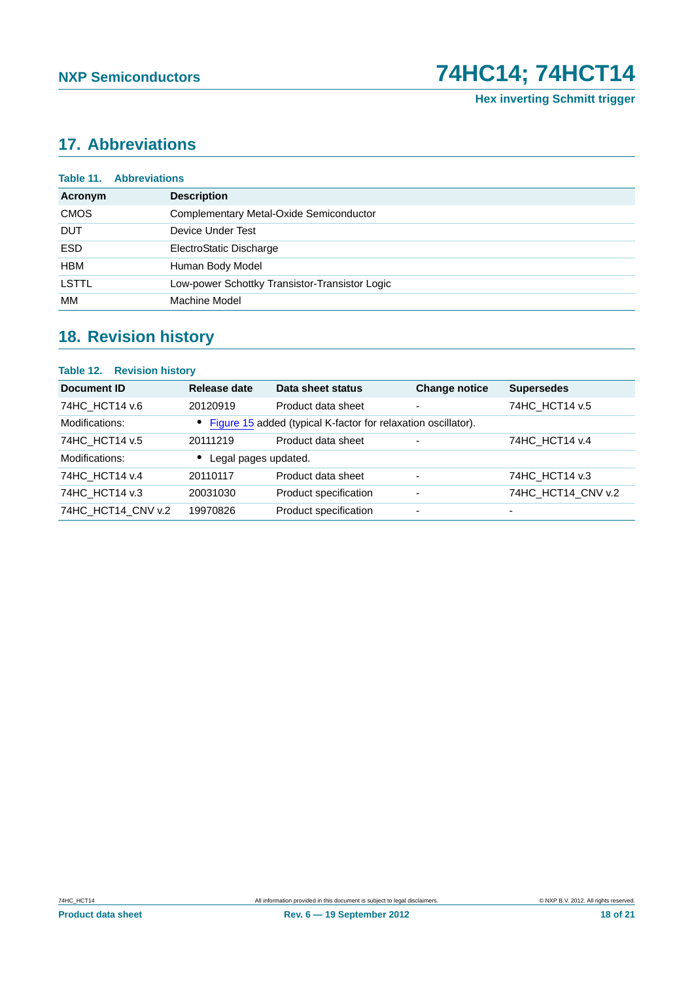# <span id="page-17-0"></span>**17. Abbreviations**

|             | <b>Table 11. Abbreviations</b>                 |
|-------------|------------------------------------------------|
| Acronym     | <b>Description</b>                             |
| <b>CMOS</b> | Complementary Metal-Oxide Semiconductor        |
| <b>DUT</b>  | Device Under Test                              |
| <b>ESD</b>  | ElectroStatic Discharge                        |
| HBM         | Human Body Model                               |
| LSTTL       | Low-power Schottky Transistor-Transistor Logic |
| МM          | Machine Model                                  |

# <span id="page-17-1"></span>**18. Revision history**

| <b>Table 12. Revision history</b> |                      |                                                                 |                          |                    |
|-----------------------------------|----------------------|-----------------------------------------------------------------|--------------------------|--------------------|
| Document ID                       | Release date         | Data sheet status                                               | <b>Change notice</b>     | <b>Supersedes</b>  |
| 74HC HCT14 v.6                    | 20120919             | Product data sheet                                              | $\blacksquare$           | 74HC HCT14 v.5     |
| Modifications:                    |                      | • Figure 15 added (typical K-factor for relaxation oscillator). |                          |                    |
| 74HC_HCT14 v.5                    | 20111219             | Product data sheet                                              | $\overline{\phantom{a}}$ | 74HC HCT14 v.4     |
| Modifications:                    | Legal pages updated. |                                                                 |                          |                    |
| 74HC_HCT14 v.4                    | 20110117             | Product data sheet                                              | $\blacksquare$           | 74HC HCT14 v.3     |
| 74HC HCT14 v.3                    | 20031030             | Product specification                                           | $\overline{\phantom{a}}$ | 74HC HCT14 CNV v.2 |
| 74HC_HCT14_CNV v.2                | 19970826             | Product specification                                           | $\overline{a}$           |                    |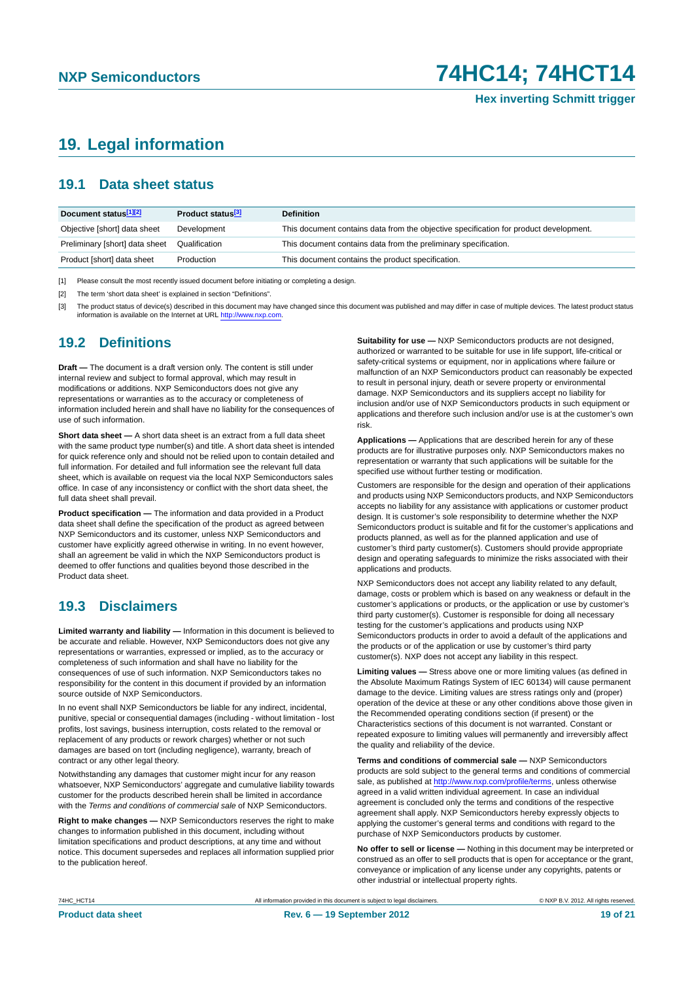# <span id="page-18-0"></span>**19. Legal information**

### <span id="page-18-1"></span>**19.1 Data sheet status**

| Document status[1][2]          | Product status <sup>[3]</sup> | <b>Definition</b>                                                                     |
|--------------------------------|-------------------------------|---------------------------------------------------------------------------------------|
| Objective [short] data sheet   | Development                   | This document contains data from the objective specification for product development. |
| Preliminary [short] data sheet | Qualification                 | This document contains data from the preliminary specification.                       |
| Product [short] data sheet     | Production                    | This document contains the product specification.                                     |

[1] Please consult the most recently issued document before initiating or completing a design.

[2] The term 'short data sheet' is explained in section "Definitions".

[3] The product status of device(s) described in this document may have changed since this document was published and may differ in case of multiple devices. The latest product status<br>information is available on the Intern

#### <span id="page-18-2"></span>**19.2 Definitions**

**Draft —** The document is a draft version only. The content is still under internal review and subject to formal approval, which may result in modifications or additions. NXP Semiconductors does not give any representations or warranties as to the accuracy or completeness of information included herein and shall have no liability for the consequences of use of such information.

**Short data sheet —** A short data sheet is an extract from a full data sheet with the same product type number(s) and title. A short data sheet is intended for quick reference only and should not be relied upon to contain detailed and full information. For detailed and full information see the relevant full data sheet, which is available on request via the local NXP Semiconductors sales office. In case of any inconsistency or conflict with the short data sheet, the full data sheet shall prevail.

**Product specification —** The information and data provided in a Product data sheet shall define the specification of the product as agreed between NXP Semiconductors and its customer, unless NXP Semiconductors and customer have explicitly agreed otherwise in writing. In no event however, shall an agreement be valid in which the NXP Semiconductors product is deemed to offer functions and qualities beyond those described in the Product data sheet.

### <span id="page-18-3"></span>**19.3 Disclaimers**

**Limited warranty and liability —** Information in this document is believed to be accurate and reliable. However, NXP Semiconductors does not give any representations or warranties, expressed or implied, as to the accuracy or completeness of such information and shall have no liability for the consequences of use of such information. NXP Semiconductors takes no responsibility for the content in this document if provided by an information source outside of NXP Semiconductors.

In no event shall NXP Semiconductors be liable for any indirect, incidental, punitive, special or consequential damages (including - without limitation - lost profits, lost savings, business interruption, costs related to the removal or replacement of any products or rework charges) whether or not such damages are based on tort (including negligence), warranty, breach of contract or any other legal theory.

Notwithstanding any damages that customer might incur for any reason whatsoever, NXP Semiconductors' aggregate and cumulative liability towards customer for the products described herein shall be limited in accordance with the *Terms and conditions of commercial sale* of NXP Semiconductors.

**Right to make changes —** NXP Semiconductors reserves the right to make changes to information published in this document, including without limitation specifications and product descriptions, at any time and without notice. This document supersedes and replaces all information supplied prior to the publication hereof.

**Suitability for use —** NXP Semiconductors products are not designed, authorized or warranted to be suitable for use in life support, life-critical or safety-critical systems or equipment, nor in applications where failure or malfunction of an NXP Semiconductors product can reasonably be expected to result in personal injury, death or severe property or environmental damage. NXP Semiconductors and its suppliers accept no liability for inclusion and/or use of NXP Semiconductors products in such equipment or applications and therefore such inclusion and/or use is at the customer's own risk.

**Applications —** Applications that are described herein for any of these products are for illustrative purposes only. NXP Semiconductors makes no representation or warranty that such applications will be suitable for the specified use without further testing or modification.

Customers are responsible for the design and operation of their applications and products using NXP Semiconductors products, and NXP Semiconductors accepts no liability for any assistance with applications or customer product design. It is customer's sole responsibility to determine whether the NXP Semiconductors product is suitable and fit for the customer's applications and products planned, as well as for the planned application and use of customer's third party customer(s). Customers should provide appropriate design and operating safeguards to minimize the risks associated with their applications and products.

NXP Semiconductors does not accept any liability related to any default, damage, costs or problem which is based on any weakness or default in the customer's applications or products, or the application or use by customer's third party customer(s). Customer is responsible for doing all necessary testing for the customer's applications and products using NXP Semiconductors products in order to avoid a default of the applications and the products or of the application or use by customer's third party customer(s). NXP does not accept any liability in this respect.

**Limiting values —** Stress above one or more limiting values (as defined in the Absolute Maximum Ratings System of IEC 60134) will cause permanent damage to the device. Limiting values are stress ratings only and (proper) operation of the device at these or any other conditions above those given in the Recommended operating conditions section (if present) or the Characteristics sections of this document is not warranted. Constant or repeated exposure to limiting values will permanently and irreversibly affect the quality and reliability of the device.

**Terms and conditions of commercial sale —** NXP Semiconductors products are sold subject to the general terms and conditions of commercial sale, as published at<http://www.nxp.com/profile/terms>, unless otherwise agreed in a valid written individual agreement. In case an individual agreement is concluded only the terms and conditions of the respective agreement shall apply. NXP Semiconductors hereby expressly objects to applying the customer's general terms and conditions with regard to the purchase of NXP Semiconductors products by customer.

**No offer to sell or license —** Nothing in this document may be interpreted or construed as an offer to sell products that is open for acceptance or the grant, conveyance or implication of any license under any copyrights, patents or other industrial or intellectual property rights.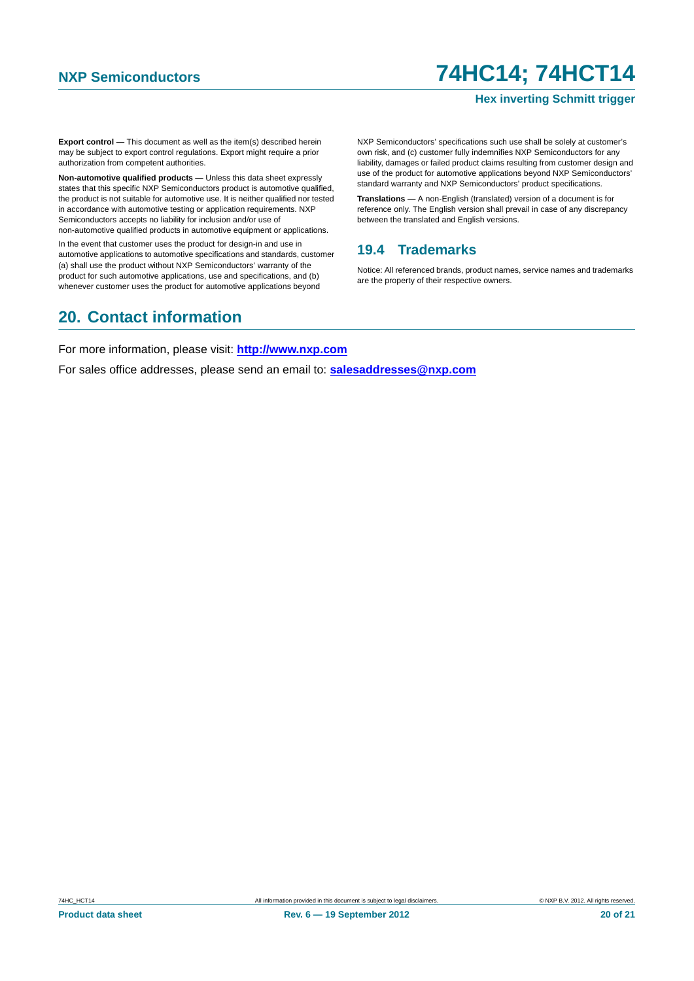#### **Hex inverting Schmitt trigger**

**Export control —** This document as well as the item(s) described herein may be subject to export control regulations. Export might require a prior authorization from competent authorities.

**Non-automotive qualified products —** Unless this data sheet expressly states that this specific NXP Semiconductors product is automotive qualified, the product is not suitable for automotive use. It is neither qualified nor tested in accordance with automotive testing or application requirements. NXP Semiconductors accepts no liability for inclusion and/or use of non-automotive qualified products in automotive equipment or applications.

In the event that customer uses the product for design-in and use in automotive applications to automotive specifications and standards, customer (a) shall use the product without NXP Semiconductors' warranty of the product for such automotive applications, use and specifications, and (b) whenever customer uses the product for automotive applications beyond

NXP Semiconductors' specifications such use shall be solely at customer's own risk, and (c) customer fully indemnifies NXP Semiconductors for any liability, damages or failed product claims resulting from customer design and use of the product for automotive applications beyond NXP Semiconductors' standard warranty and NXP Semiconductors' product specifications.

**Translations —** A non-English (translated) version of a document is for reference only. The English version shall prevail in case of any discrepancy between the translated and English versions.

#### <span id="page-19-0"></span>**19.4 Trademarks**

Notice: All referenced brands, product names, service names and trademarks are the property of their respective owners.

# <span id="page-19-1"></span>**20. Contact information**

For more information, please visit: **http://www.nxp.com**

For sales office addresses, please send an email to: **salesaddresses@nxp.com**